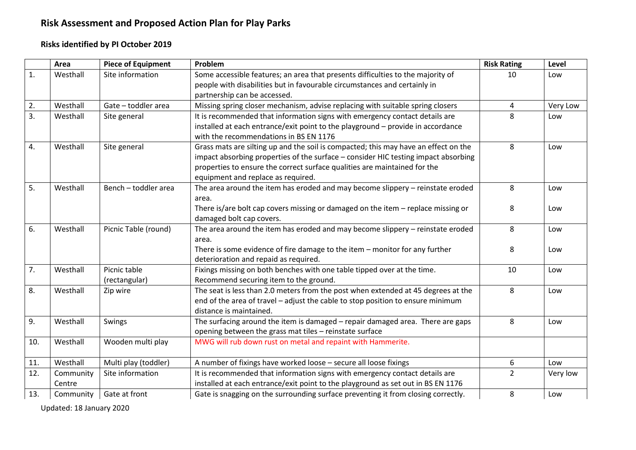# **Risk Assessment and Proposed Action Plan for Play Parks**

### **Risks identified by PI October 2019**

|     | Area      | <b>Piece of Equipment</b> | Problem                                                                                                                                   | <b>Risk Rating</b> | Level    |
|-----|-----------|---------------------------|-------------------------------------------------------------------------------------------------------------------------------------------|--------------------|----------|
| 1.  | Westhall  | Site information          | Some accessible features; an area that presents difficulties to the majority of                                                           | 10                 | Low      |
|     |           |                           | people with disabilities but in favourable circumstances and certainly in                                                                 |                    |          |
|     |           |                           | partnership can be accessed.                                                                                                              |                    |          |
| 2.  | Westhall  | Gate - toddler area       | Missing spring closer mechanism, advise replacing with suitable spring closers                                                            | 4                  | Very Low |
| 3.  | Westhall  | Site general              | It is recommended that information signs with emergency contact details are                                                               | 8                  | Low      |
|     |           |                           | installed at each entrance/exit point to the playground - provide in accordance                                                           |                    |          |
|     |           |                           | with the recommendations in BS EN 1176                                                                                                    |                    |          |
| 4.  | Westhall  | Site general              | Grass mats are silting up and the soil is compacted; this may have an effect on the                                                       | 8                  | Low      |
|     |           |                           | impact absorbing properties of the surface - consider HIC testing impact absorbing                                                        |                    |          |
|     |           |                           | properties to ensure the correct surface qualities are maintained for the                                                                 |                    |          |
|     |           |                           | equipment and replace as required.                                                                                                        |                    |          |
| 5.  | Westhall  | Bench - toddler area      | The area around the item has eroded and may become slippery - reinstate eroded                                                            | 8                  | Low      |
|     |           |                           | area.                                                                                                                                     |                    |          |
|     |           |                           | There is/are bolt cap covers missing or damaged on the item $-$ replace missing or                                                        | 8                  | Low      |
|     |           |                           | damaged bolt cap covers.                                                                                                                  |                    |          |
| 6.  | Westhall  | Picnic Table (round)      | The area around the item has eroded and may become slippery - reinstate eroded                                                            | 8                  | Low      |
|     |           |                           | area.                                                                                                                                     |                    |          |
|     |           |                           | There is some evidence of fire damage to the item - monitor for any further                                                               | 8                  | Low      |
|     |           |                           | deterioration and repaid as required.                                                                                                     |                    |          |
| 7.  | Westhall  | Picnic table              | Fixings missing on both benches with one table tipped over at the time.                                                                   | 10                 | Low      |
|     |           | (rectangular)             | Recommend securing item to the ground.                                                                                                    |                    |          |
| 8.  | Westhall  | Zip wire                  | The seat is less than 2.0 meters from the post when extended at 45 degrees at the                                                         | 8                  | Low      |
|     |           |                           | end of the area of travel - adjust the cable to stop position to ensure minimum                                                           |                    |          |
|     | Westhall  |                           | distance is maintained.                                                                                                                   | 8                  |          |
| 9.  |           | Swings                    | The surfacing around the item is damaged - repair damaged area. There are gaps<br>opening between the grass mat tiles - reinstate surface |                    | Low      |
|     | Westhall  |                           |                                                                                                                                           |                    |          |
| 10. |           | Wooden multi play         | MWG will rub down rust on metal and repaint with Hammerite.                                                                               |                    |          |
| 11. | Westhall  | Multi play (toddler)      | A number of fixings have worked loose - secure all loose fixings                                                                          | 6                  | Low      |
| 12. | Community | Site information          | It is recommended that information signs with emergency contact details are                                                               | 2                  | Very low |
|     | Centre    |                           | installed at each entrance/exit point to the playground as set out in BS EN 1176                                                          |                    |          |
| 13. | Community | Gate at front             | Gate is snagging on the surrounding surface preventing it from closing correctly.                                                         | 8                  | Low      |

Updated: 18 January 2020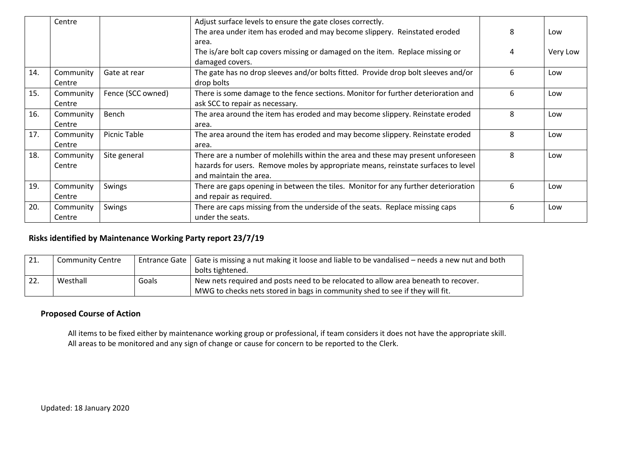|     | Centre    |                   | Adjust surface levels to ensure the gate closes correctly.                         |   |          |
|-----|-----------|-------------------|------------------------------------------------------------------------------------|---|----------|
|     |           |                   | The area under item has eroded and may become slippery. Reinstated eroded          | 8 | Low      |
|     |           |                   | area.                                                                              |   |          |
|     |           |                   | The is/are bolt cap covers missing or damaged on the item. Replace missing or      | 4 | Very Low |
|     |           |                   | damaged covers.                                                                    |   |          |
| 14. | Community | Gate at rear      | The gate has no drop sleeves and/or bolts fitted. Provide drop bolt sleeves and/or | 6 | Low      |
|     | Centre    |                   | drop bolts                                                                         |   |          |
| 15. | Community | Fence (SCC owned) | There is some damage to the fence sections. Monitor for further deterioration and  | 6 | Low      |
|     | Centre    |                   | ask SCC to repair as necessary.                                                    |   |          |
| 16. | Community | Bench             | The area around the item has eroded and may become slippery. Reinstate eroded      | 8 | Low      |
|     | Centre    |                   | area.                                                                              |   |          |
| 17. | Community | Picnic Table      | The area around the item has eroded and may become slippery. Reinstate eroded      | 8 | Low      |
|     | Centre    |                   | area.                                                                              |   |          |
| 18. | Community | Site general      | There are a number of molehills within the area and these may present unforeseen   | 8 | Low      |
|     | Centre    |                   | hazards for users. Remove moles by appropriate means, reinstate surfaces to level  |   |          |
|     |           |                   | and maintain the area.                                                             |   |          |
| 19. | Community | Swings            | There are gaps opening in between the tiles. Monitor for any further deterioration | 6 | Low      |
|     | Centre    |                   | and repair as required.                                                            |   |          |
| 20. | Community | Swings            | There are caps missing from the underside of the seats. Replace missing caps       | 6 | Low      |
|     | Centre    |                   | under the seats.                                                                   |   |          |

#### **Risks identified by Maintenance Working Party report 23/7/19**

| 21. | <b>Community Centre</b> |       | Entrance Gate   Gate is missing a nut making it loose and liable to be vandalised – needs a new nut and both |  |  |
|-----|-------------------------|-------|--------------------------------------------------------------------------------------------------------------|--|--|
|     |                         |       | bolts tightened.                                                                                             |  |  |
| 22. | Westhall                | Goals | New nets required and posts need to be relocated to allow area beneath to recover.                           |  |  |
|     |                         |       | MWG to checks nets stored in bags in community shed to see if they will fit.                                 |  |  |

#### **Proposed Course of Action**

All items to be fixed either by maintenance working group or professional, if team considers it does not have the appropriate skill. All areas to be monitored and any sign of change or cause for concern to be reported to the Clerk.